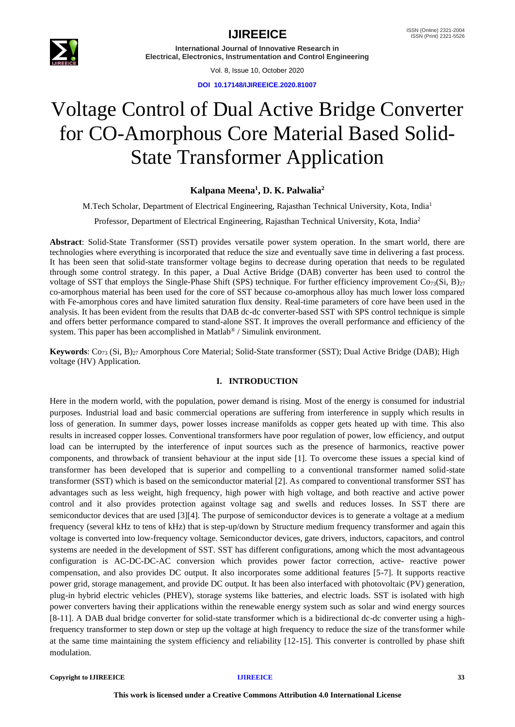

Vol. 8, Issue 10, October 2020

**DOI 10.17148/IJIREEICE.2020.81007**

# Voltage Control of Dual Active Bridge Converter for CO-Amorphous Core Material Based Solid-State Transformer Application

### **Kalpana Meena<sup>1</sup> , D. K. Palwalia<sup>2</sup>**

M.Tech Scholar, Department of Electrical Engineering, Rajasthan Technical University, Kota, India<sup>1</sup>

Professor, Department of Electrical Engineering, Rajasthan Technical University, Kota, India<sup>2</sup>

**Abstract**: Solid-State Transformer (SST) provides versatile power system operation. In the smart world, there are technologies where everything is incorporated that reduce the size and eventually save time in delivering a fast process. It has been seen that solid-state transformer voltage begins to decrease during operation that needs to be regulated through some control strategy. In this paper, a Dual Active Bridge (DAB) converter has been used to control the voltage of SST that employs the Single-Phase Shift (SPS) technique. For further efficiency improvement  $Co<sub>73</sub>(Si, B)<sub>27</sub>$ co-amorphous material has been used for the core of SST because co-amorphous alloy has much lower loss compared with Fe-amorphous cores and have limited saturation flux density. Real-time parameters of core have been used in the analysis. It has been evident from the results that DAB dc-dc converter-based SST with SPS control technique is simple and offers better performance compared to stand-alone SST. It improves the overall performance and efficiency of the system. This paper has been accomplished in Matlab<sup>®</sup> / Simulink environment.

**Keywords**: Co<sub>73</sub> (Si, B)<sub>27</sub> Amorphous Core Material; Solid-State transformer (SST); Dual Active Bridge (DAB); High voltage (HV) Application.

### **I. INTRODUCTION**

Here in the modern world, with the population, power demand is rising. Most of the energy is consumed for industrial purposes. Industrial load and basic commercial operations are suffering from interference in supply which results in loss of generation. In summer days, power losses increase manifolds as copper gets heated up with time. This also results in increased copper losses. Conventional transformers have poor regulation of power, low efficiency, and output load can be interrupted by the interference of input sources such as the presence of harmonics, reactive power components, and throwback of transient behaviour at the input side [1]. To overcome these issues a special kind of transformer has been developed that is superior and compelling to a conventional transformer named solid-state transformer (SST) which is based on the semiconductor material [2]. As compared to conventional transformer SST has advantages such as less weight, high frequency, high power with high voltage, and both reactive and active power control and it also provides protection against voltage sag and swells and reduces losses. In SST there are semiconductor devices that are used [3][4]. The purpose of semiconductor devices is to generate a voltage at a medium frequency (several kHz to tens of kHz) that is step-up/down by Structure medium frequency transformer and again this voltage is converted into low-frequency voltage. Semiconductor devices, gate drivers, inductors, capacitors, and control systems are needed in the development of SST. SST has different configurations, among which the most advantageous configuration is AC-DC-DC-AC conversion which provides power factor correction, active- reactive power compensation, and also provides DC output. It also incorporates some additional features [5-7]. It supports reactive power grid, storage management, and provide DC output. It has been also interfaced with photovoltaic (PV) generation, plug-in hybrid electric vehicles (PHEV), storage systems like batteries, and electric loads. SST is isolated with high power converters having their applications within the renewable energy system such as solar and wind energy sources [8-11]. A DAB dual bridge converter for solid-state transformer which is a bidirectional dc-dc converter using a highfrequency transformer to step down or step up the voltage at high frequency to reduce the size of the transformer while at the same time maintaining the system efficiency and reliability [12-15]. This converter is controlled by phase shift modulation.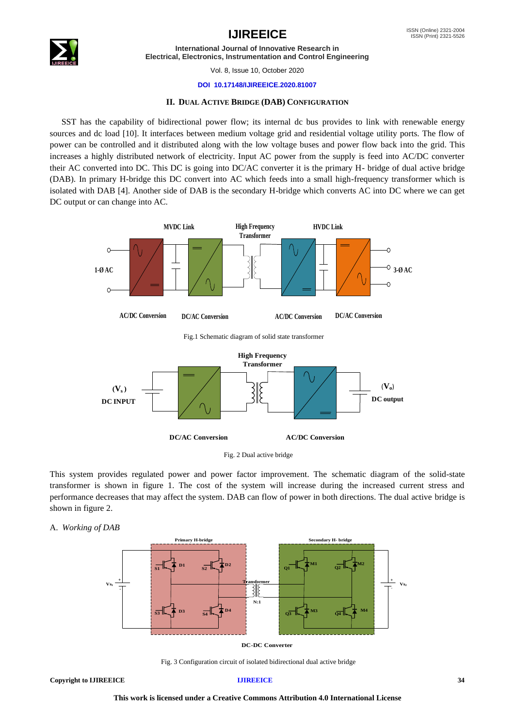



Vol. 8, Issue 10, October 2020

### **DOI 10.17148/IJIREEICE.2020.81007**

### **II. DUAL ACTIVE BRIDGE (DAB) CONFIGURATION**

SST has the capability of bidirectional power flow; its internal dc bus provides to link with renewable energy sources and dc load [10]. It interfaces between medium voltage grid and residential voltage utility ports. The flow of power can be controlled and it distributed along with the low voltage buses and power flow back into the grid. This increases a highly distributed network of electricity. Input AC power from the supply is feed into AC/DC converter their AC converted into DC. This DC is going into DC/AC converter it is the primary H- bridge of dual active bridge (DAB). In primary H-bridge this DC convert into AC which feeds into a small high-frequency transformer which is isolated with DAB [4]. Another side of DAB is the secondary H-bridge which converts AC into DC where we can get DC output or can change into AC.



This system provides regulated power and power factor improvement. The schematic diagram of the solid-state transformer is shown in figure 1. The cost of the system will increase during the increased current stress and performance decreases that may affect the system. DAB can flow of power in both directions. The dual active bridge is shown in figure 2.

### A. *Working of DAB*



**DC-DC Converter**

Fig. 3 Configuration circuit of isolated bidirectional dual active bridge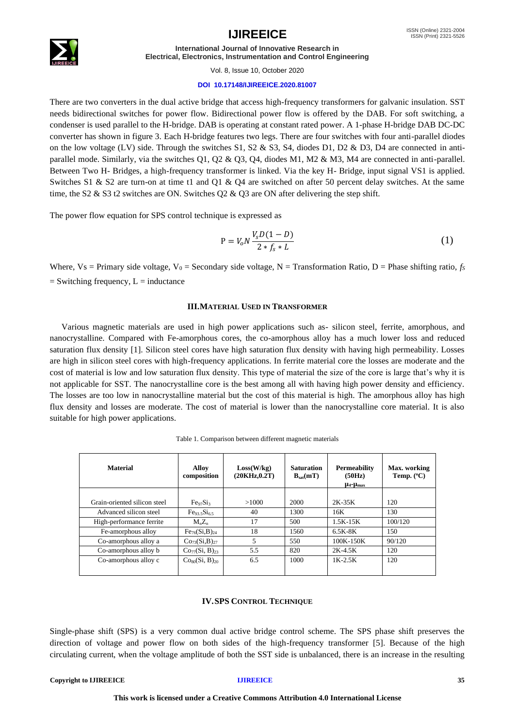

Vol. 8, Issue 10, October 2020

### **DOI 10.17148/IJIREEICE.2020.81007**

There are two converters in the dual active bridge that access high-frequency transformers for galvanic insulation. SST needs bidirectional switches for power flow. Bidirectional power flow is offered by the DAB. For soft switching, a condenser is used parallel to the H-bridge. DAB is operating at constant rated power. A 1-phase H-bridge DAB DC-DC converter has shown in figure 3. Each H-bridge features two legs. There are four switches with four anti-parallel diodes on the low voltage (LV) side. Through the switches  $S1$ ,  $S2 \& S3$ ,  $S4$ , diodes D1, D2  $\& D3$ , D4 are connected in antiparallel mode. Similarly, via the switches Q1, Q2 & Q3, Q4, diodes M1, M2 & M3, M4 are connected in anti-parallel. Between Two H- Bridges, a high-frequency transformer is linked. Via the key H- Bridge, input signal VS1 is applied. Switches S1 & S2 are turn-on at time t1 and Q1 & Q4 are switched on after 50 percent delay switches. At the same time, the S2 & S3 t2 switches are ON. Switches Q2 & Q3 are ON after delivering the step shift.

The power flow equation for SPS control technique is expressed as

$$
P = V_0 N \frac{V_s D (1 - D)}{2 * f_s * L}
$$
 (1)

Where,  $V_s$  = Primary side voltage,  $V_0$  = Secondary side voltage, N = Transformation Ratio, D = Phase shifting ratio,  $f_s$  $=$  Switching frequency,  $L =$  inductance

### **III.MATERIAL USED IN TRANSFORMER**

Various magnetic materials are used in high power applications such as- silicon steel, ferrite, amorphous, and nanocrystalline. Compared with Fe-amorphous cores, the co-amorphous alloy has a much lower loss and reduced saturation flux density [1]. Silicon steel cores have high saturation flux density with having high permeability. Losses are high in silicon steel cores with high-frequency applications. In ferrite material core the losses are moderate and the cost of material is low and low saturation flux density. This type of material the size of the core is large that's why it is not applicable for SST. The nanocrystalline core is the best among all with having high power density and efficiency. The losses are too low in nanocrystalline material but the cost of this material is high. The amorphous alloy has high flux density and losses are moderate. The cost of material is lower than the nanocrystalline core material. It is also suitable for high power applications.

| <b>Material</b>              | <b>Alloy</b><br>composition            | Loss(W/kg)<br>(20KHz, 0.2T) | <b>Saturation</b><br>$B_{\text{sat}}(mT)$ | <b>Permeability</b><br>(50Hz)<br>$\mu_4$ - $\mu_{\text{max}}$ | Max. working<br>Temp. $(^{\circ}C)$ |
|------------------------------|----------------------------------------|-----------------------------|-------------------------------------------|---------------------------------------------------------------|-------------------------------------|
|                              |                                        |                             |                                           |                                                               |                                     |
| Grain-oriented silicon steel | Fe <sub>97</sub> Si <sub>3</sub>       | >1000                       | 2000                                      | $2K-35K$                                                      | 120                                 |
| Advanced silicon steel       | $Fe93$ $5S165$                         | 40                          | 1300                                      | 16K                                                           | 130                                 |
| High-performance ferrite     | $M_nZ_n$                               | 17                          | 500                                       | $1.5K - 15K$                                                  | 100/120                             |
| Fe-amorphous alloy           | $Fe_{76}(Si, B)_{24}$                  | 18                          | 1560                                      | 6.5K-8K                                                       | 150                                 |
| Co-amorphous alloy a         | Co <sub>73</sub> (Si, B) <sub>27</sub> | 5                           | 550                                       | $100K - 150K$                                                 | 90/120                              |
| Co-amorphous alloy b         | $Co_{77}(Si, B)_{23}$                  | 5.5                         | 820                                       | $2K-4.5K$                                                     | 120                                 |
| Co-amorphous alloy c         | Co <sub>80</sub> (Si, B) <sub>20</sub> | 6.5                         | 1000                                      | $1K-2.5K$                                                     | 120                                 |

Table 1. Comparison between different magnetic materials

### **IV.SPS CONTROL TECHNIQUE**

Single-phase shift (SPS) is a very common dual active bridge control scheme. The SPS phase shift preserves the direction of voltage and power flow on both sides of the high-frequency transformer [5]. Because of the high circulating current, when the voltage amplitude of both the SST side is unbalanced, there is an increase in the resulting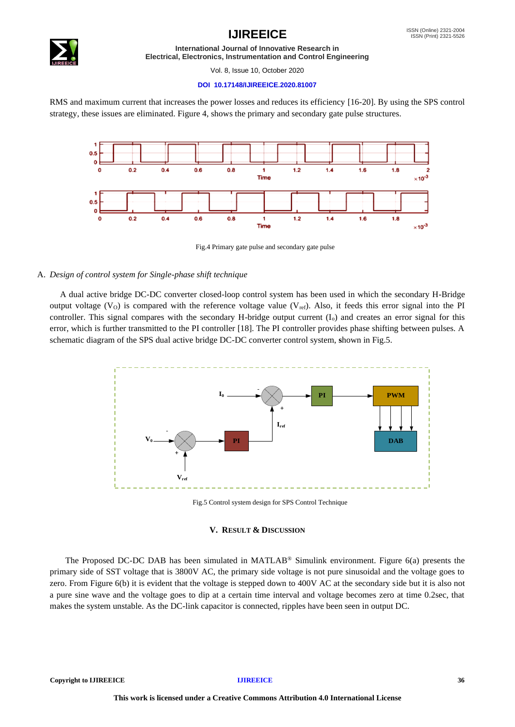## **IJIREEICE ISSN** (Online) 2321-2004



**International Journal of Innovative Research in Electrical, Electronics, Instrumentation and Control Engineering**

Vol. 8, Issue 10, October 2020

### **DOI 10.17148/IJIREEICE.2020.81007**

RMS and maximum current that increases the power losses and reduces its efficiency [16-20]. By using the SPS control strategy, these issues are eliminated. Figure 4, shows the primary and secondary gate pulse structures.



Fig.4 Primary gate pulse and secondary gate pulse

### A. *Design of control system for Single-phase shift technique*

A dual active bridge DC-DC converter closed-loop control system has been used in which the secondary H-Bridge output voltage ( $V<sub>O</sub>$ ) is compared with the reference voltage value ( $V<sub>ref</sub>$ ). Also, it feeds this error signal into the PI controller. This signal compares with the secondary H-bridge output current  $(I_0)$  and creates an error signal for this error, which is further transmitted to the PI controller [18]. The PI controller provides phase shifting between pulses. A schematic diagram of the SPS dual active bridge DC-DC converter control system, **s**hown in Fig.5.



Fig.5 Control system design for SPS Control Technique

### **V. RESULT & DISCUSSION**

The Proposed DC-DC DAB has been simulated in MATLAB® Simulink environment. Figure 6(a) presents the primary side of SST voltage that is 3800V AC, the primary side voltage is not pure sinusoidal and the voltage goes to zero. From Figure 6(b) it is evident that the voltage is stepped down to 400V AC at the secondary side but it is also not a pure sine wave and the voltage goes to dip at a certain time interval and voltage becomes zero at time 0.2sec, that makes the system unstable. As the DC-link capacitor is connected, ripples have been seen in output DC.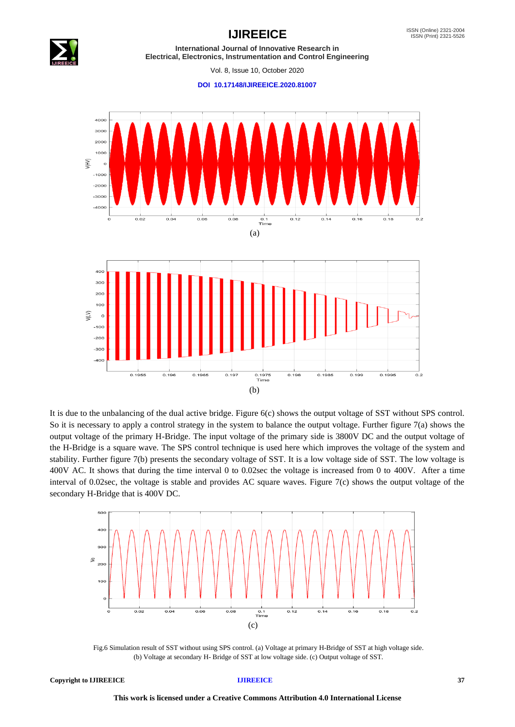

Vol. 8, Issue 10, October 2020

**DOI 10.17148/IJIREEICE.2020.81007**



It is due to the unbalancing of the dual active bridge. Figure 6(c) shows the output voltage of SST without SPS control. So it is necessary to apply a control strategy in the system to balance the output voltage. Further figure 7(a) shows the output voltage of the primary H-Bridge. The input voltage of the primary side is 3800V DC and the output voltage of the H-Bridge is a square wave. The SPS control technique is used here which improves the voltage of the system and stability. Further figure 7(b) presents the secondary voltage of SST. It is a low voltage side of SST. The low voltage is 400V AC. It shows that during the time interval 0 to 0.02sec the voltage is increased from 0 to 400V. After a time interval of 0.02sec, the voltage is stable and provides AC square waves. Figure 7(c) shows the output voltage of the secondary H-Bridge that is 400V DC.



Fig.6 Simulation result of SST without using SPS control. (a) Voltage at primary H-Bridge of SST at high voltage side. (b) Voltage at secondary H- Bridge of SST at low voltage side. (c) Output voltage of SST.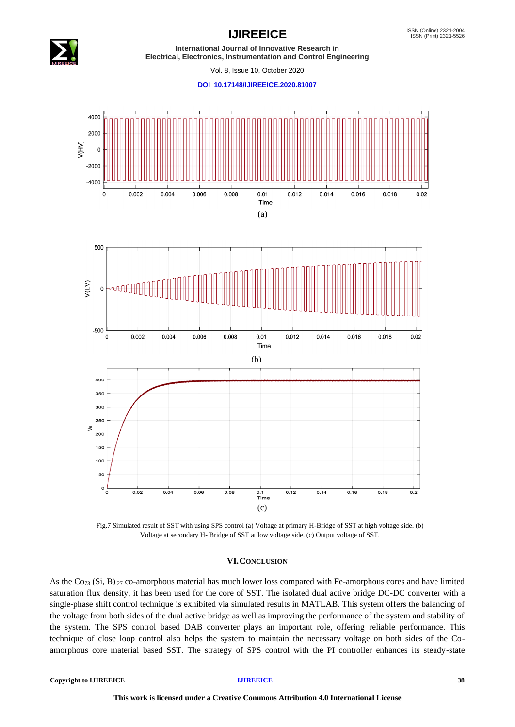

Vol. 8, Issue 10, October 2020

**DOI 10.17148/IJIREEICE.2020.81007**



Voltage at secondary H- Bridge of SST at low voltage side. (c) Output voltage of SST.

### **VI.CONCLUSION**

As the Co<sub>73</sub> (Si, B) <sub>27</sub> co-amorphous material has much lower loss compared with Fe-amorphous cores and have limited saturation flux density, it has been used for the core of SST. The isolated dual active bridge DC-DC converter with a single-phase shift control technique is exhibited via simulated results in MATLAB. This system offers the balancing of the voltage from both sides of the dual active bridge as well as improving the performance of the system and stability of the system. The SPS control based DAB converter plays an important role, offering reliable performance. This technique of close loop control also helps the system to maintain the necessary voltage on both sides of the Coamorphous core material based SST. The strategy of SPS control with the PI controller enhances its steady-state